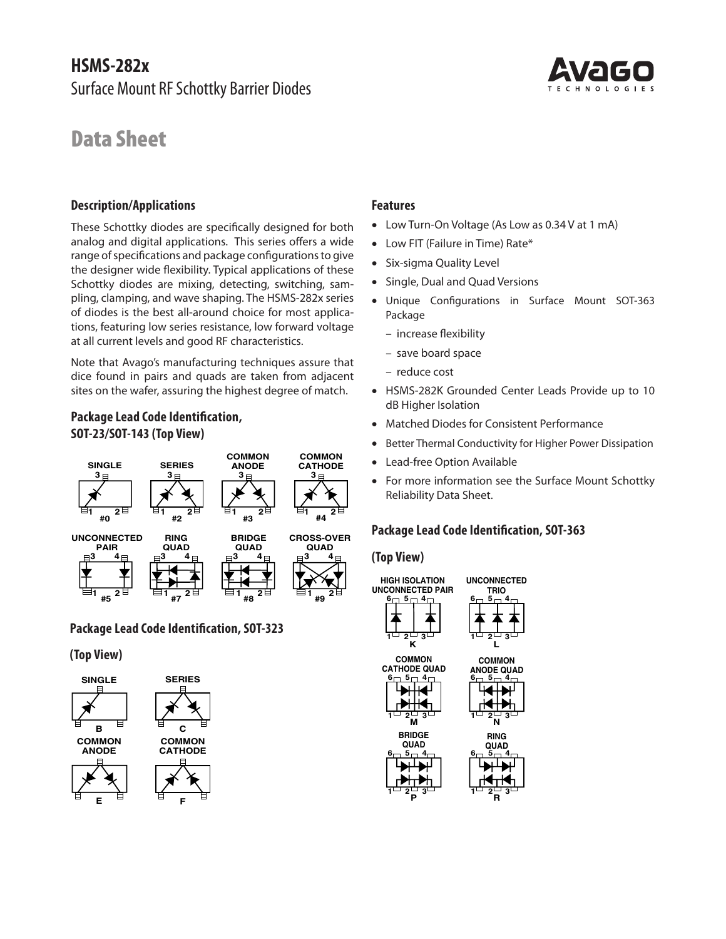# **HSMS-282x**  Surface Mount RF Schottky Barrier Diodes

# Data Sheet

### **Description/Applications**

These Schottky diodes are specifically designed for both analog and digital applications. This series offers a wide range of specifications and package configurations to give the designer wide flexibility. Typical applications of these Schottky diodes are mixing, detecting, switching, sampling, clamping, and wave shaping. The HSMS‑282x series of diodes is the best all-around choice for most applications, featuring low series resistance, low forward voltage at all current levels and good RF characteristics.

Note that Avago's manufacturing techniques assure that dice found in pairs and quads are taken from adjacent sites on the wafer, assuring the highest degree of match.

# **Package Lead Code Identification, SOT-23/SOT-143 (Top View)**



# **Package Lead Code Identification, SOT-323**

#### **(Top View)**







- Low FIT (Failure in Time) Rate\*
- Six-sigma Quality Level
- Single, Dual and Quad Versions
- Unique Configurations in Surface Mount SOT-363 Package
	- increase flexibility
	- save board space
	- reduce cost
- HSMS-282K Grounded Center Leads Provide up to 10 dB Higher Isolation
- Matched Diodes for Consistent Performance
- Better Thermal Conductivity for Higher Power Dissipation
- Lead-free Option Available
- For more information see the Surface Mount Schottky Reliability Data Sheet.

# **Package Lead Code Identification, SOT-363**

**TRIO**

**L**

**COMMON**

**N RING QUAD**

**1 2 3**

**R**

#### **(Top View)**



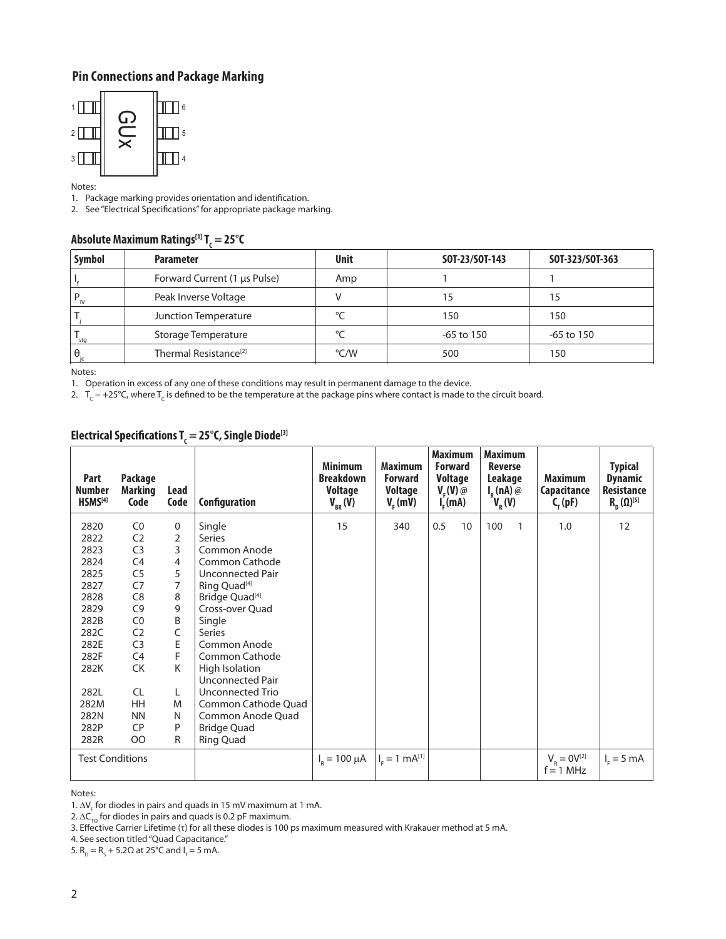# **Pin Connections and Package Marking**



Notes:

1. Package marking provides orientation and identification.

2. See "Electrical Specifications" for appropriate package marking.

# **Absolute Maximum Ratings[1] TC = 25°C**

| <b>Symbol</b> | <b>Parameter</b>                  | <b>Unit</b> | SOT-23/SOT-143 | SOT-323/SOT-363 |
|---------------|-----------------------------------|-------------|----------------|-----------------|
|               | Forward Current (1 µs Pulse)      | Amp         |                |                 |
|               | Peak Inverse Voltage              |             | 15             | 15              |
|               | Junction Temperature              | $\sim$      | 150            | 150             |
| ' stq         | Storage Temperature               | $\sim$      | $-65$ to 150   | -65 to 150      |
| θ             | Thermal Resistance <sup>[2]</sup> | °C/W        | 500            | 150             |

Notes:

1. Operation in excess of any one of these conditions may result in permanent damage to the device.

2.  $T_c = +25^{\circ}$ C, where  $T_c$  is defined to be the temperature at the package pins where contact is made to the circuit board.

| Part<br><b>Number</b><br>HSMS <sup>[4]</sup> | Package<br><b>Marking</b><br>Code | Lead<br>Code   | Configuration                      | <b>Minimum</b><br><b>Breakdown</b><br><b>Voltage</b><br>$V_{_{BR}}(V)$ | <b>Maximum</b><br><b>Forward</b><br><b>Voltage</b><br>$V_{c}$ (mV) | <b>Maximum</b><br><b>Forward</b><br><b>Voltage</b><br>$V_{E}(V)$ @<br>$I_{E}$ (mA) | <b>Maximum</b><br><b>Reverse</b><br>Leakage<br>$I_R(nA)$ @<br>$\mathsf{V}_{\mathsf{R}}(\mathsf{V})$ | <b>Maximum</b><br>Capacitance<br>$C_{\rm r}$ (pF) | <b>Typical</b><br><b>Dynamic</b><br><b>Resistance</b><br>$R_{n}(\Omega)^{[5]}$ |
|----------------------------------------------|-----------------------------------|----------------|------------------------------------|------------------------------------------------------------------------|--------------------------------------------------------------------|------------------------------------------------------------------------------------|-----------------------------------------------------------------------------------------------------|---------------------------------------------------|--------------------------------------------------------------------------------|
| 2820                                         | CO                                | 0              | Single                             | 15                                                                     | 340                                                                | 0.5<br>10 <sup>°</sup>                                                             | 100<br>1                                                                                            | 1.0                                               | 12                                                                             |
| 2822                                         | C <sub>2</sub>                    | 2              | Series                             |                                                                        |                                                                    |                                                                                    |                                                                                                     |                                                   |                                                                                |
| 2823                                         | C <sub>3</sub>                    | 3              | Common Anode                       |                                                                        |                                                                    |                                                                                    |                                                                                                     |                                                   |                                                                                |
| 2824                                         | C4                                | $\overline{4}$ | Common Cathode                     |                                                                        |                                                                    |                                                                                    |                                                                                                     |                                                   |                                                                                |
| 2825                                         | C <sub>5</sub>                    | 5              | Unconnected Pair                   |                                                                        |                                                                    |                                                                                    |                                                                                                     |                                                   |                                                                                |
| 2827                                         | C7                                | $\overline{7}$ | Ring Quad <sup>[4]</sup>           |                                                                        |                                                                    |                                                                                    |                                                                                                     |                                                   |                                                                                |
| 2828                                         | C8                                | 8              | Bridge Quad <sup>[4]</sup>         |                                                                        |                                                                    |                                                                                    |                                                                                                     |                                                   |                                                                                |
| 2829                                         | C <sub>9</sub>                    | 9              | Cross-over Quad                    |                                                                        |                                                                    |                                                                                    |                                                                                                     |                                                   |                                                                                |
| 282B                                         | CO                                | B              | Single                             |                                                                        |                                                                    |                                                                                    |                                                                                                     |                                                   |                                                                                |
| 282C                                         | C <sub>2</sub>                    | C              | <b>Series</b>                      |                                                                        |                                                                    |                                                                                    |                                                                                                     |                                                   |                                                                                |
| 282E                                         | C <sub>3</sub>                    | E              | Common Anode                       |                                                                        |                                                                    |                                                                                    |                                                                                                     |                                                   |                                                                                |
| 282F                                         | C <sub>4</sub>                    | F.             | Common Cathode                     |                                                                        |                                                                    |                                                                                    |                                                                                                     |                                                   |                                                                                |
| 282K                                         | CK                                | K              | High Isolation<br>Unconnected Pair |                                                                        |                                                                    |                                                                                    |                                                                                                     |                                                   |                                                                                |
| 282L                                         | <b>CL</b>                         | L.             | Unconnected Trio                   |                                                                        |                                                                    |                                                                                    |                                                                                                     |                                                   |                                                                                |
| 282M                                         | <b>HH</b>                         | M              | Common Cathode Quad                |                                                                        |                                                                    |                                                                                    |                                                                                                     |                                                   |                                                                                |
| 282N                                         | <b>NN</b>                         | N              | Common Anode Quad                  |                                                                        |                                                                    |                                                                                    |                                                                                                     |                                                   |                                                                                |
| 282P                                         | <b>CP</b>                         | P              | <b>Bridge Quad</b>                 |                                                                        |                                                                    |                                                                                    |                                                                                                     |                                                   |                                                                                |
| 282R                                         | <b>OO</b>                         | R              | Ring Quad                          |                                                                        |                                                                    |                                                                                    |                                                                                                     |                                                   |                                                                                |
| <b>Test Conditions</b>                       |                                   |                |                                    | $I_{R} = 100 \mu A$                                                    | $I_{E} = 1$ mA <sup>[1]</sup>                                      |                                                                                    |                                                                                                     | $V_R = 0V^{[2]}$<br>$f = 1$ MHz                   | $I_c = 5$ mA                                                                   |

# **Electrical Specifications TC = 25°C, Single Diode[3]**

Notes:

1. ∆V<sub>F</sub> for diodes in pairs and quads in 15 mV maximum at 1 mA.

2.  $\Delta C_{\overline{10}}$  for diodes in pairs and quads is 0.2 pF maximum.

3. Effective Carrier Lifetime (τ) for all these diodes is 100 ps maximum measured with Krakauer method at 5 mA.

4. See section titled "Quad Capacitance."

5.  $R_p = R_s + 5.2Ω$  at 25°C and  $I_f = 5$  mA.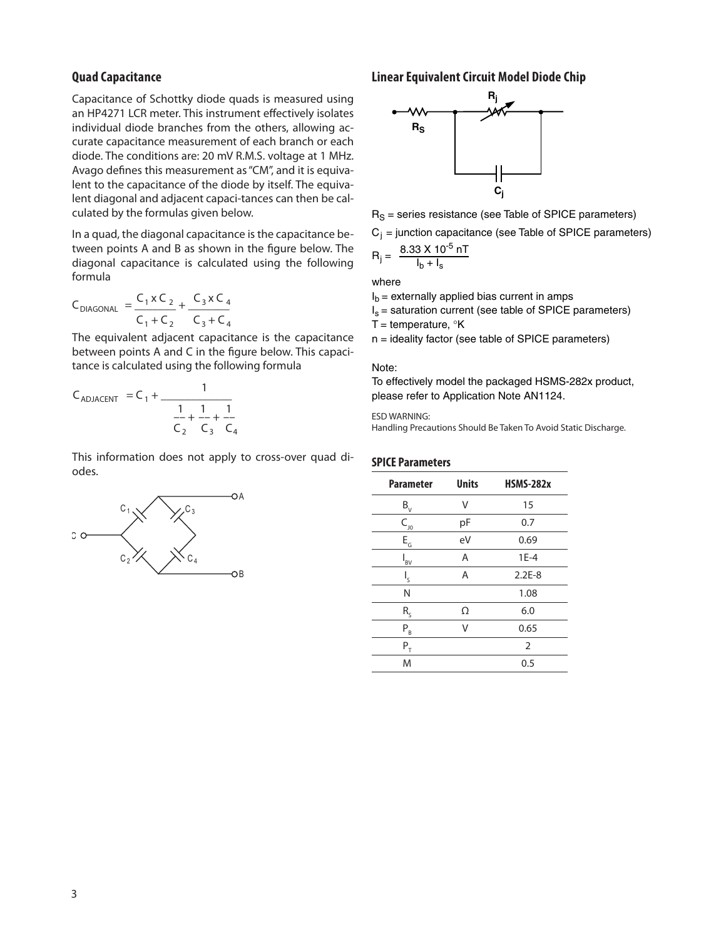#### **Quad Capacitance**

Capacitance of Schottky diode quads is measured using an HP4271 LCR meter. This instrument effectively isolates individual diode branches from the others, allowing accurate capacitance measurement of each branch or each diode. The conditions are: 20 mV R.M.S. voltage at 1 MHz. Avago defines this measurement as "CM", and it is equivalent to the capacitance of the diode by itself. The equivalent diagonal and adjacent capaci-tances can then be calculated by the formulas given below.

In a quad, the diagonal capacitance is the capacitance be‑ tween points A and B as shown in the figure below. The diagonal capacitance is calculated using the following formula

$$
C_{DIAGONAL} = \frac{C_1 \times C_2}{C_1 + C_2} + \frac{C_3 \times C_4}{C_3 + C_4}
$$

between points A and C in the figure below. This capaci- $\frac{1}{2}$  tance is calculated using the following formula The equivalent adjacent capacitance is the capacitance<br>between points A and C in the figure below. This capaci-

$$
C_{ADJACENT} = C_1 + \frac{1}{\frac{1}{C_2} + \frac{1}{C_3} + \frac{1}{C_4}}
$$

This information does not apply to cross-over quad di-<br>odes odes.



#### **Linear Equivalent Circuit Model Diode Chip**



 $R<sub>S</sub>$  = series resistance (see Table of SPICE parameters)

 $C_i$  = junction capacitance (see Table of SPICE parameters)

$$
R_{j} = \frac{8.33 \times 10^{-5} \text{ nT}}{I_{b} + I_{s}}
$$

where

 $I<sub>b</sub>$  = externally applied bias current in amps

 $I_s$  = saturation current (see table of SPICE parameters)

T = temperature,  $\mathrm{K}$ 

n = ideality factor (see table of SPICE parameters)

#### Note:

To effectively model the packaged HSMS-282x product, please refer to Application Note AN1124.

#### ESD WARNING:

Handling Precautions Should Be Taken To Avoid Static Discharge.

#### **SPICE Parameters**

| <b>Parameter</b>          | <b>Units</b> | <b>HSMS-282x</b> |
|---------------------------|--------------|------------------|
| $B_{\rm v}$               | V            | 15               |
| $C_{_{J0}}$               | pF           | 0.7              |
| $\mathsf{E}_{\mathsf{G}}$ | eV           | 0.69             |
| $I_{BV}$                  | A            | $1E-4$           |
| ı,                        | Α            | $2.2E-8$         |
| N                         |              | 1.08             |
| $R_{S}$                   | Ω            | 6.0              |
| $P_{B}$                   | ٧            | 0.65             |
| $\mathsf{P}_\mathsf{T}$   |              | $\overline{2}$   |
| M                         |              | 0.5              |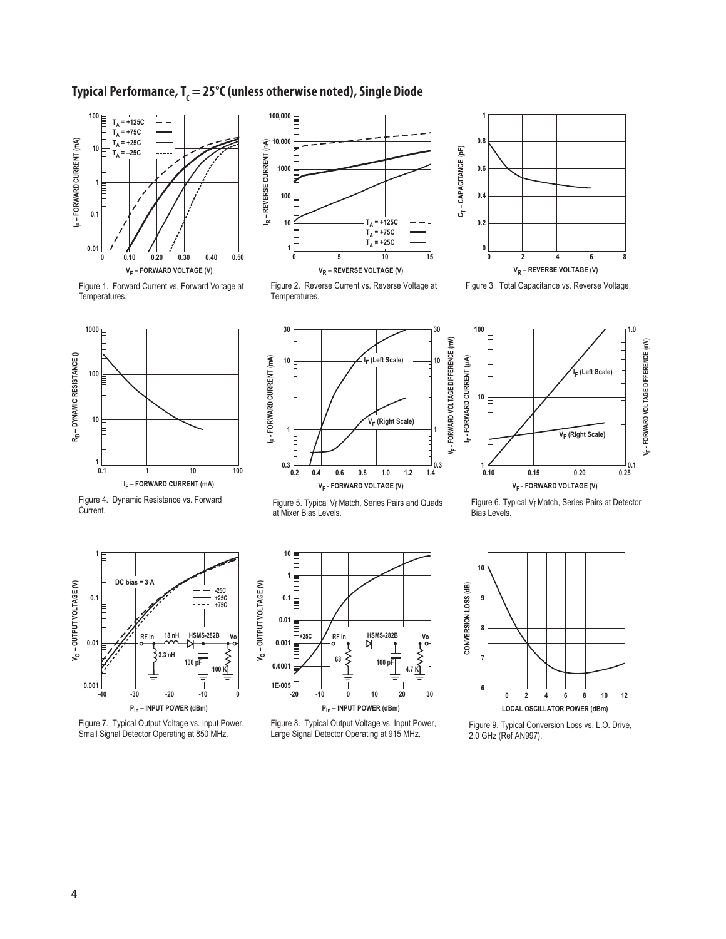# Typical Performance, T<sub>c</sub> = 25°C (unless otherwise noted), Single Diode



Figure 1. Forward Current vs. Forward Voltage at Temperatures.



















Figure 5. Typical  $V_f$  Match, Series Pairs and Quads at Mixer Bias Levels.





Figure 7. Typical Output Voltage vs. Input Power, Small Signal Detector Operating at 850 MHz.



Figure 8. Typical Output Voltage vs. Input Power, Large Signal Detector Operating at 915 MHz.



Figure 9. Typical Conversion Loss vs. L.O. Drive, 2.0 GHz (Ref AN997).

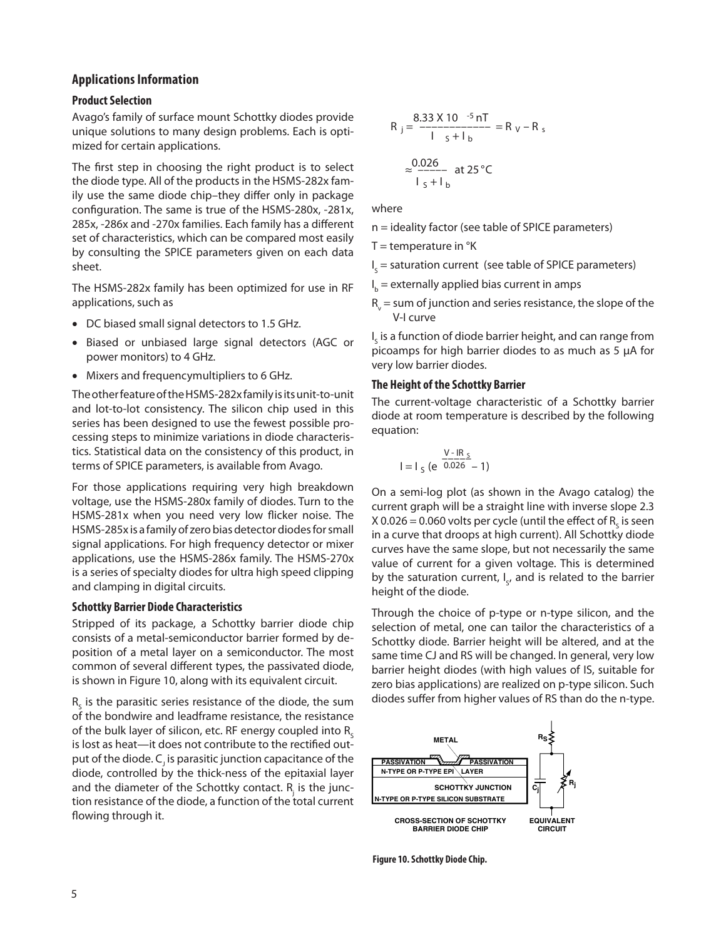#### **Applications Information**

#### **Product Selection**

Avago's family of surface mount Schottky diodes provide unique solutions to many design problems. Each is optimized for certain applications.

The first step in choosing the right product is to select the diode type. All of the products in the HSMS‑282x fam‑ ily use the same diode chip–they differ only in package configuration. The same is true of the HSMS-280x, -281x, 285x, -286x and -270x families. Each family has a different set of characteristics, which can be compared most easily by consulting the SPICE parameters given on each data sheet.

The HSMS‑282x family has been optimized for use in RF applications, such as

- DC biased small signal detectors to 1.5 GHz.
- Biased or unbiased large signal detectors (AGC or power monitors) to 4 GHz.
- Mixers and frequencymultipliers to 6 GHz.

The other feature of the HSMS‑282x family is its unit‑to‑unit and lot-to-lot consistency. The silicon chip used in this series has been designed to use the fewest possible processing steps to minimize variations in diode characteristics. Statistical data on the consistency of this product, in terms of SPICE parameters, is available from Avago.

For those applications requiring very high breakdown voltage, use the HSMS‑280x family of diodes. Turn to the HSMS‑281x when you need very low flicker noise. The HSMS‑285x is a family of zero bias detector diodes for small signal applications. For high frequency detector or mixer applications, use the HSMS‑286x family. The HSMS‑270x is a series of specialty diodes for ultra high speed clipping and clamping in digital circuits.

#### **Schottky Barrier Diode Characteristics**

Stripped of its package, a Schottky barrier diode chip consists of a metal-semiconductor barrier formed by de‑ position of a metal layer on a semiconductor. The most common of several different types, the passivated diode, is shown in Figure 10, along with its equivalent circuit.

 $R_{\rm s}$  is the parasitic series resistance of the diode, the sum of the bondwire and leadframe resistance, the resistance of the bulk layer of silicon, etc. RF energy coupled into  $R_c$ is lost as heat—it does not contribute to the rectified output of the diode.  $\mathsf{C}_{\mathsf{j}}$  is parasitic junction capacitance of the diode, controlled by the thick-ness of the epitaxial layer and the diameter of the Schottky contact.  $R_{j}$  is the junction resistance of the diode, a function of the total current flowing through it.

$$
R_{j} = \frac{8.33 \times 10^{-5} \text{ nT}}{1 \text{ s} + 1 \text{ b}} = R_{V} - R_{s}
$$

$$
\approx \frac{0.026}{1 \text{ s} + 1 \text{ b}} \text{ at } 25^{\circ} \text{C}
$$

where

- where<br>n = ideality factor (see table of SPICE parameters)
- $T =$  temperature in  $\mathrm{R}$
- I<sub>s</sub> = saturation current (see table of SPICE parameters)
- I b = externally applied bias current in amps
- $R_{\rm v}$  = sum of junction and series resistance, the slope of the V-I curve

 $\boldsymbol{\mathsf{I}}_{\boldsymbol{\varsigma}}$  is a function of diode barrier height, and can range from picoamps for high barrier diodes to as much as 5 µA for very low barrier diodes.

# ر<br>The Height of the Schottky Barrier

The current-voltage characteristic of a Schottky barrier not can extrage characteristic or a sensitivity same. equation:

$$
I = I_{S} (e^{\frac{V - IR_{S}}{0.026}} - 1)
$$

On a semi-log plot (as shown in the Avago catalog) the current graph will be a straight line with inverse slope 2.3 X 0.026 = 0.060 volts per cycle (until the effect of  $R_{\rm s}$  is seen in a curve that droops at high current). All Schottky diode curves have the same slope, but not necessarily the same value of current for a given voltage. This is determined by the saturation current,  $I_{s}$ , and is related to the barrier height of the diode.

Through the choice of p-type or n-type silicon, and the selection of metal, one can tailor the characteristics of a Schottky diode. Barrier height will be altered, and at the same time CJ and RS will be changed. In general, very low barrier height diodes (with high values of IS, suitable for zero bias applications) are realized on p-type silicon. Such diodes suffer from higher values of RS than do the n-type.



**Figure 10. Schottky Diode Chip.**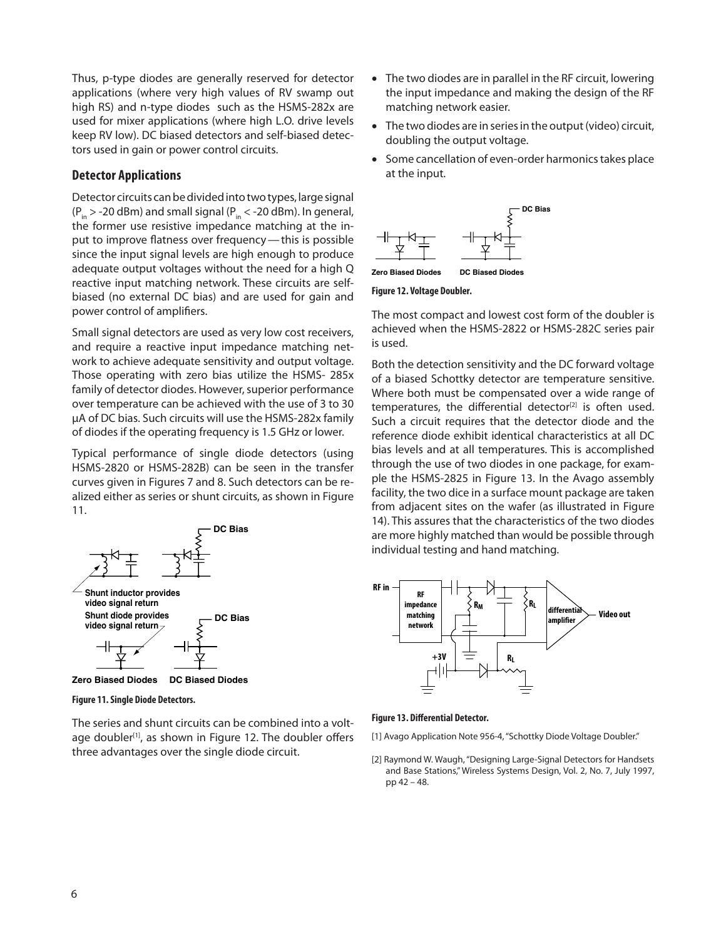Thus, p-type diodes are generally reserved for detector applications (where very high values of RV swamp out high RS) and n-type diodes such as the HSMS-282x are used for mixer applications (where high L.O. drive levels keep RV low). DC biased detectors and self-biased detectors used in gain or power control circuits.

#### **Detector Applications**

Detector circuits can be divided into two types, large signal  $(P_{in} > -20$  dBm) and small signal  $(P_{in} < -20$  dBm). In general, the former use resistive impedance matching at the input to improve flatness over frequency — this is possible since the input signal levels are high enough to produce adequate output voltages without the need for a high Q reactive input matching network. These circuits are selfbiased (no external DC bias) and are used for gain and power control of amplifiers.

Small signal detectors are used as very low cost receivers, and require a reactive input impedance matching network to achieve adequate sensitivity and output voltage. Those operating with zero bias utilize the HSMS‑ 285x family of detector diodes. However, superior performance over temperature can be achieved with the use of 3 to 30 µA of DC bias. Such circuits will use the HSMS‑282x family of diodes if the operating frequency is 1.5 GHz or lower.

Typical performance of single diode detectors (using HSMS‑2820 or HSMS‑282B) can be seen in the transfer curves given in Figures 7 and 8. Such detectors can be re‑ alized either as series or shunt circuits, as shown in Figure 11.



**Figure 11. Single Diode Detectors.**

The series and shunt circuits can be combined into a voltage doubler<sup>[1]</sup>, as shown in Figure 12. The doubler offers three advantages over the single diode circuit.

- The two diodes are in parallel in the RF circuit, lowering the input impedance and making the design of the RF matching network easier.
- The two diodes are in series in the output (video) circuit, doubling the output voltage.
- Some cancellation of even-order harmonics takes place at the input.



**Zero Biased Diodes DC Biased Diodes**

#### **Figure 12. Voltage Doubler.**

The most compact and lowest cost form of the doubler is achieved when the HSMS‑2822 or HSMS-282C series pair is used.

Both the detection sensitivity and the DC forward voltage of a biased Schottky detector are temperature sensitive. Where both must be compensated over a wide range of temperatures, the differential detector<sup>[2]</sup> is often used. Such a circuit requires that the detector diode and the reference diode exhibit identical characteristics at all DC bias levels and at all temperatures. This is accomplished through the use of two diodes in one package, for example the HSMS‑2825 in Figure 13. In the Avago assembly facility, the two dice in a surface mount package are taken from adjacent sites on the wafer (as illustrated in Figure 14). This assures that the characteristics of the two diodes are more highly matched than would be possible through individual testing and hand matching.



**Figure 13. Differential Detector.**

[1] Avago Application Note 956-4, "Schottky Diode Voltage Doubler."

[2] Raymond W. Waugh, "Designing Large‑Signal Detectors for Handsets and Base Stations," Wireless Systems Design, Vol. 2, No. 7, July 1997, pp 42 – 48.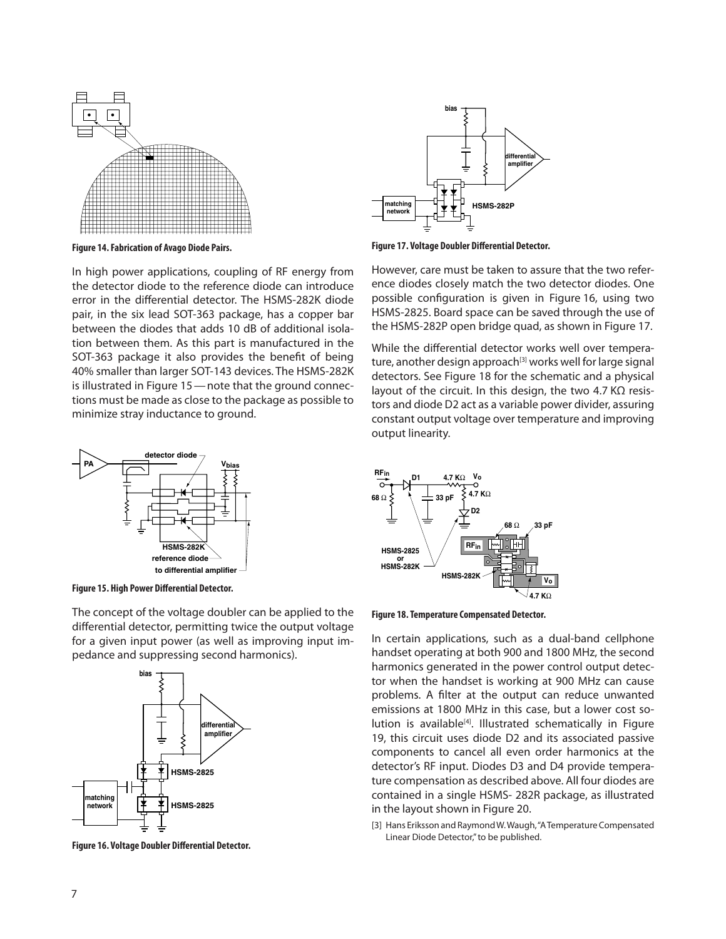

**Figure 14. Fabrication of Avago Diode Pairs.**

In high power applications, coupling of RF energy from the detector diode to the reference diode can introduce error in the differential detector. The HSMS‑282K diode pair, in the six lead SOT‑363 package, has a copper bar between the diodes that adds 10 dB of additional isolation between them. As this part is manufactured in the SOT-363 package it also provides the benefit of being 40% smaller than larger SOT‑143 devices. The HSMS‑282K is illustrated in Figure 15 - note that the ground connections must be made as close to the package as possible to minimize stray inductance to ground.



**Figure 15. High Power Differential Detector.**

The concept of the voltage doubler can be applied to the differential detector, permitting twice the output voltage for a given input power (as well as improving input impedance and suppressing second harmonics).



**Figure 16. Voltage Doubler Differential Detector.**



**Figure 17. Voltage Doubler Differential Detector.**

However, care must be taken to assure that the two reference diodes closely match the two detector diodes. One possible configuration is given in Figure 16, using two HSMS‑2825. Board space can be saved through the use of the HSMS‑282P open bridge quad, as shown in Figure 17.

While the differential detector works well over temperature, another design approach<sup>[3]</sup> works well for large signal detectors. See Figure 18 for the schematic and a physical layout of the circuit. In this design, the two 4.7 KΩ resistors and diode D2 act as a variable power divider, assuring constant output voltage over temperature and improving output linearity.



**Figure 18. Temperature Compensated Detector.**

In certain applications, such as a dual-band cellphone handset operating at both 900 and 1800 MHz, the second harmonics generated in the power control output detector when the handset is working at 900 MHz can cause problems. A filter at the output can reduce unwanted emissions at 1800 MHz in this case, but a lower cost solution is available<sup>[4]</sup>. Illustrated schematically in Figure 19, this circuit uses diode D2 and its associated passive components to cancel all even order harmonics at the detector's RF input. Diodes D3 and D4 provide tempera‑ ture compensation as described above. All four diodes are contained in a single HSMS‑ 282R package, as illustrated in the layout shown in Figure 20.

[3] Hans Eriksson and Raymond W. Waugh, "A Temperature Compensated Linear Diode Detector," to be published.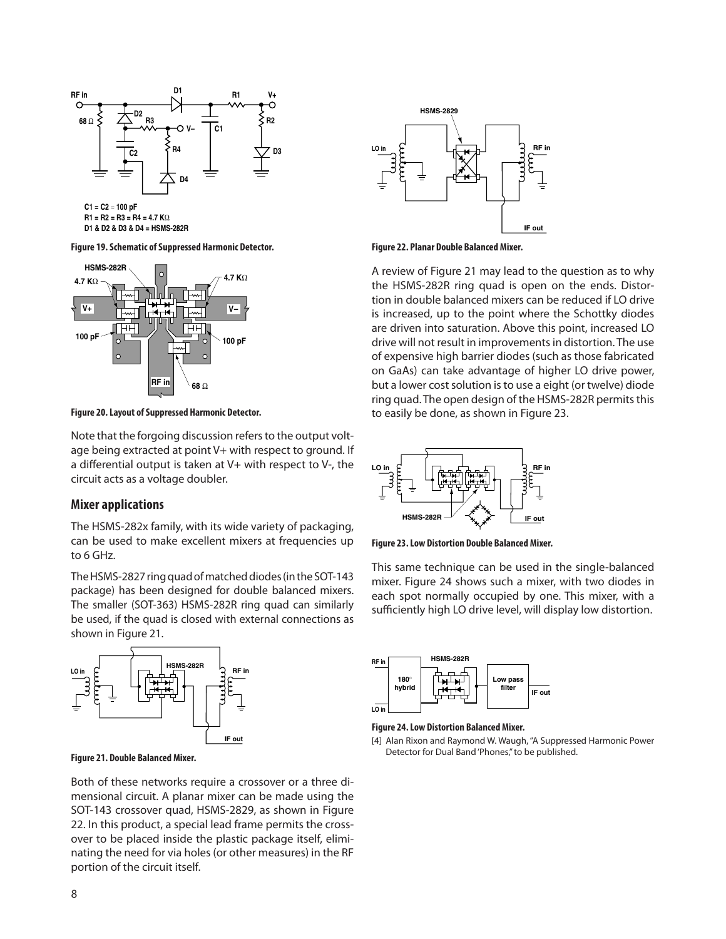

**D1 & D2 & D3 & D4 = HSMS-282R**

**Figure 19. Schematic of Suppressed Harmonic Detector.**



**Figure 20. Layout of Suppressed Harmonic Detector.**

Note that the forgoing discussion refers to the output voltage being extracted at point V+ with respect to ground. If a differential output is taken at V+ with respect to V‑, the circuit acts as a voltage doubler.

#### **Mixer applications**

The HSMS‑282x family, with its wide variety of packaging, can be used to make excellent mixers at frequencies up to 6 GHz.

The HSMS‑2827 ring quad of matched diodes (in the SOT‑143 package) has been designed for double balanced mixers. The smaller (SOT‑363) HSMS-282R ring quad can similarly be used, if the quad is closed with external connections as shown in Figure 21.





**Figure 22. Planar Double Balanced Mixer.**

A review of Figure 21 may lead to the question as to why the HSMS-282R ring quad is open on the ends. Distortion in double balanced mixers can be reduced if LO drive is increased, up to the point where the Schottky diodes are driven into saturation. Above this point, increased LO drive will not result in improvements in distortion. The use of expensive high barrier diodes (such as those fabricated on GaAs) can take advantage of higher LO drive power, but a lower cost solution is to use a eight (or twelve) diode ring quad. The open design of the HSMS-282R permits this to easily be done, as shown in Figure 23.



**Figure 23. Low Distortion Double Balanced Mixer.**

This same technique can be used in the single-balanced mixer. Figure 24 shows such a mixer, with two diodes in each spot normally occupied by one. This mixer, with a sufficiently high LO drive level, will display low distortion.



#### **Figure 24. Low Distortion Balanced Mixer.**

[4] Alan Rixon and Raymond W. Waugh, "A Suppressed Harmonic Power Detector for Dual Band 'Phones," to be published.

**Figure 21. Double Balanced Mixer.**

Both of these networks require a crossover or a three dimensional circuit. A planar mixer can be made using the SOT-143 crossover quad, HSMS-2829, as shown in Figure 22. In this product, a special lead frame permits the crossover to be placed inside the plastic package itself, eliminating the need for via holes (or other measures) in the RF portion of the circuit itself.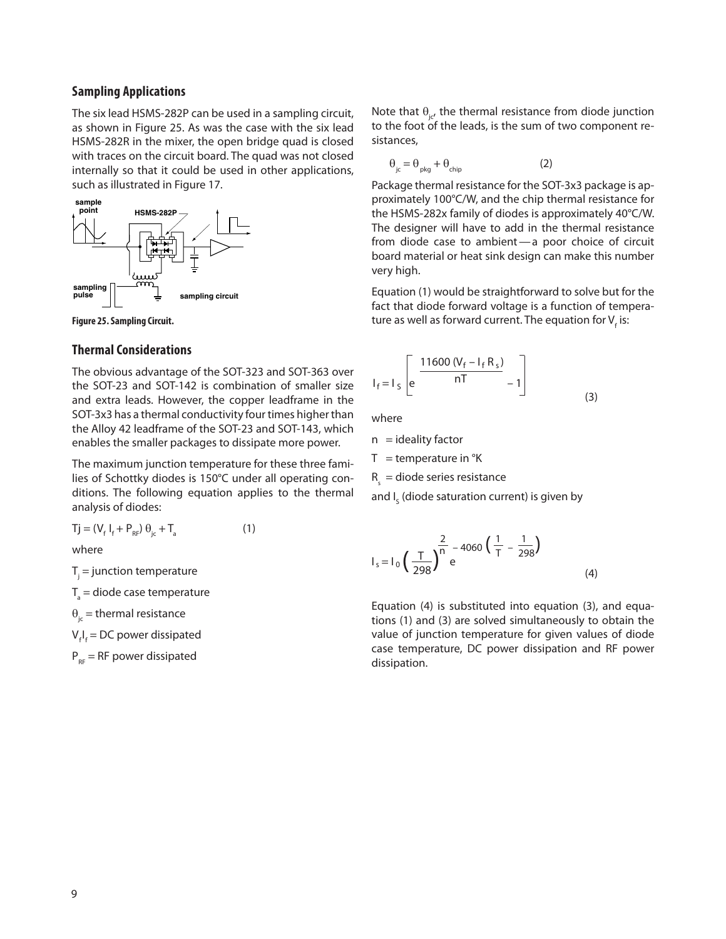#### **Sampling Applications**

The six lead HSMS‑282P can be used in a sampling circuit, as shown in Figure 25. As was the case with the six lead HSMS‑282R in the mixer, the open bridge quad is closed with traces on the circuit board. The quad was not closed internally so that it could be used in other applications, such as illustrated in Figure 17.



**Figure 25. Sampling Circuit.**

#### **Thermal Considerations**

The obvious advantage of the SOT‑323 and SOT‑363 over the SOT-23 and SOT-142 is combination of smaller size and extra leads. However, the copper leadframe in the SOT‑3x3 has a thermal conductivity four times higher than the Alloy 42 leadframe of the SOT‑23 and SOT‑143, which enables the smaller packages to dissipate more power.

The maximum junction temperature for these three families of Schottky diodes is 150°C under all operating conditions. The following equation applies to the thermal analysis of diodes:

$$
Tj = (V_f I_f + P_{RF}) \theta_{jc} + T_a
$$
 (1)

where

 $T_{j}$  = junction temperature

 $T_{\rm a}$  = diode case temperature

 $\theta_{i\epsilon}$  = thermal resistance

V<sub>f</sub>I<sub>f</sub> = DC power dissipated

 $P_{RF}$  = RF power dissipated

Note that  $\theta_{i}$ , the thermal resistance from diode junction to the foot of the leads, is the sum of two component resistances,

$$
\theta_{\rm jc} = \theta_{\rm phy} + \theta_{\rm chip} \tag{2}
$$

Package thermal resistance for the SOT-3x3 package is approximately 100°C/W, and the chip thermal resistance for the HSMS‑282x family of diodes is approximately 40°C/W. The designer will have to add in the thermal resistance from diode case to ambient-a poor choice of circuit board material or heat sink design can make this number very high.

Equation (1) would be straightforward to solve but for the fact that diode forward voltage is a function of temperature as well as forward current. The equation for V<sub>f</sub> is:

$$
I_{f} = I_{S} \left[ e^{\frac{11600 (V_{f} - I_{f} R_{S})}{nT}} - 1 \right]
$$
 (3)

where

 $n =$  ideality factor

 $T =$  temperature in  $\mathrm{R}$ 

 $R<sub>s</sub>$  = diode series resistance

and I $_{\varsigma}$  (diode saturation current) is given by

$$
I_{s} = I_{0} \left( \frac{T}{298} \right)^{\frac{2}{n}} e^{-4060 \left( \frac{1}{T} - \frac{1}{298} \right)}
$$
(4)

Equation (4) is substituted into equation (3), and equations (1) and (3) are solved simultaneously to obtain the value of junction temperature for given values of diode case temperature, DC power dissipation and RF power dissipation.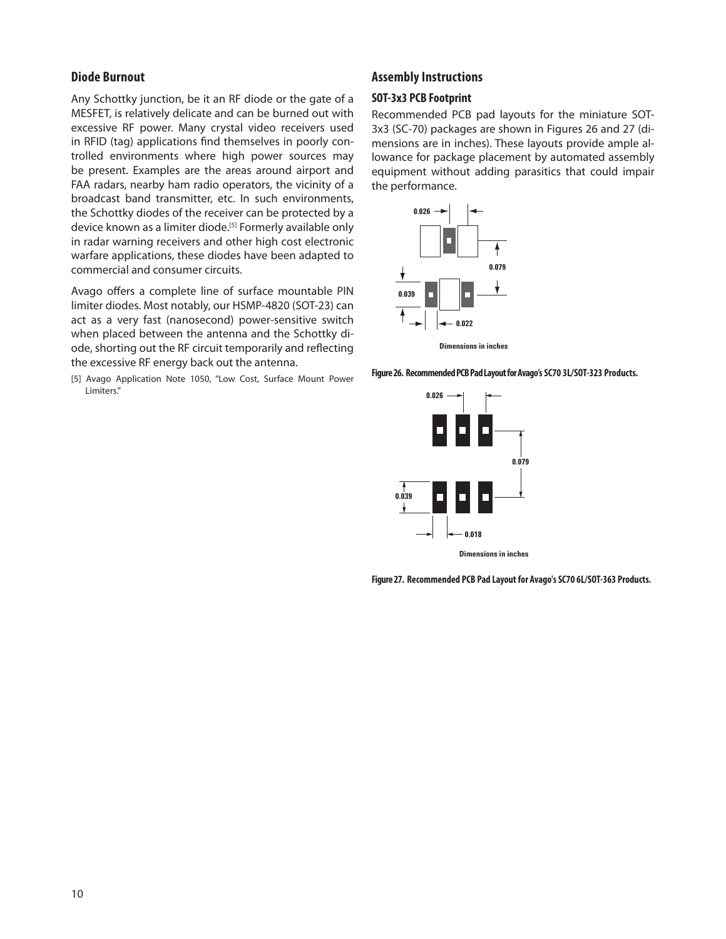#### **Diode Burnout**

Any Schottky junction, be it an RF diode or the gate of a MESFET, is relatively delicate and can be burned out with excessive RF power. Many crystal video receivers used in RFID (tag) applications find themselves in poorly controlled environments where high power sources may be present. Examples are the areas around airport and FAA radars, nearby ham radio operators, the vicinity of a broadcast band transmitter, etc. In such environments, the Schottky diodes of the receiver can be protected by a device known as a limiter diode.<sup>[5]</sup> Formerly available only in radar warning receivers and other high cost electronic warfare applications, these diodes have been adapted to commercial and consumer circuits.

Avago offers a complete line of surface mountable PIN limiter diodes. Most notably, our HSMP-4820 (SOT-23) can act as a very fast (nanosecond) power-sensitive switch when placed between the antenna and the Schottky diode, shorting out the RF circuit temporarily and reflecting the excessive RF energy back out the antenna.

[5] Avago Application Note 1050, "Low Cost, Surface Mount Power Limiters."

#### **Assembly Instructions**

### **SOT-3x3 PCB Footprint**

Recommended PCB pad layouts for the miniature SOT-3x3 (SC-70) packages are shown in Figures 26 and 27 (dimensions are in inches). These layouts provide ample allowance for package placement by automated assembly equipment without adding parasitics that could impair the performance.



**Figure 26. Recommended PCB Pad Layout for Avago's SC70 3L/SOT-323 Products.**



**Dimensions in inches**

**Figure 27. Recommended PCB Pad Layout for Avago's SC70 6L/SOT-363 Products.**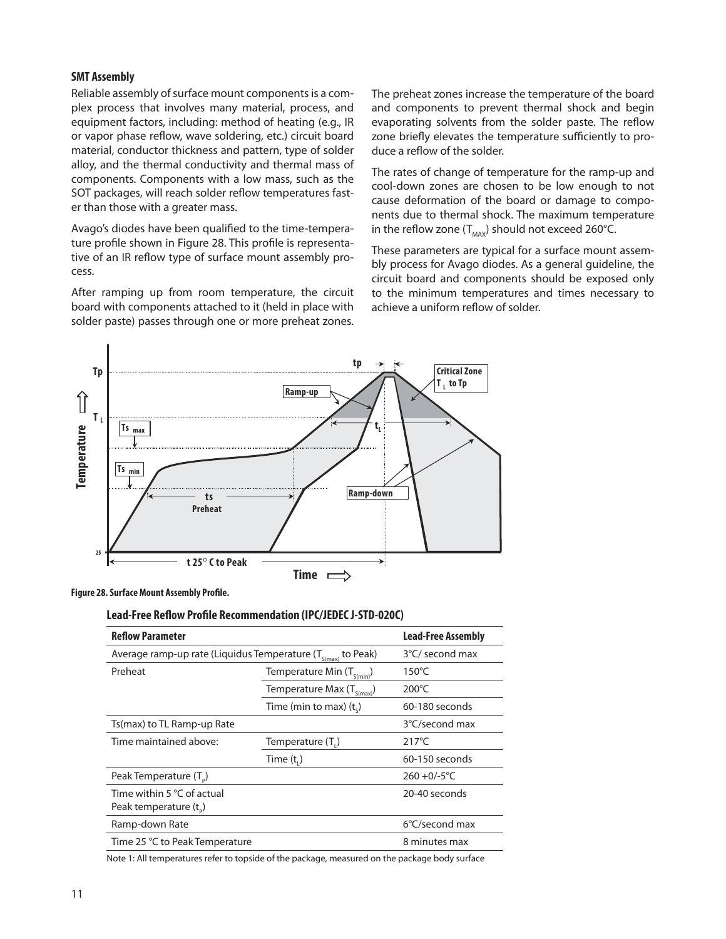#### **SMT Assembly**

Reliable assembly of surface mount components is a complex process that involves many material, process, and equipment factors, including: method of heating (e.g., IR or vapor phase reflow, wave soldering, etc.) circuit board material, conductor thickness and pattern, type of solder alloy, and the thermal conductivity and thermal mass of components. Components with a low mass, such as the SOT packages, will reach solder reflow temperatures faster than those with a greater mass.

Avago's diodes have been qualified to the time-temperature profile shown in Figure 28. This profile is representative of an IR reflow type of surface mount assembly process.

After ramping up from room temperature, the circuit board with components attached to it (held in place with solder paste) passes through one or more preheat zones. The preheat zones increase the temperature of the board and components to prevent thermal shock and begin evaporating solvents from the solder paste. The reflow zone briefly elevates the temperature sufficiently to produce a reflow of the solder.

The rates of change of temperature for the ramp-up and cool-down zones are chosen to be low enough to not cause deformation of the board or damage to components due to thermal shock. The maximum temperature in the reflow zone ( $T_{\text{max}}$ ) should not exceed 260°C.

These parameters are typical for a surface mount assembly process for Avago diodes. As a general guideline, the circuit board and components should be exposed only to the minimum temperatures and times necessary to achieve a uniform reflow of solder.



**Figure 28. Surface Mount Assembly Profile.**

#### **Lead-Free Reflow Profile Recommendation (IPC/JEDEC J-STD-020C)**

| <b>Reflow Parameter</b>                                           | <b>Lead-Free Assembly</b>      |                 |
|-------------------------------------------------------------------|--------------------------------|-----------------|
| Average ramp-up rate (Liquidus Temperature $(T_{s(max)}$ to Peak) | 3°C/ second max                |                 |
| Preheat<br>Temperature Min $(T_{S(min)})$                         |                                | 150°C           |
|                                                                   | Temperature Max $(T_{S(max)})$ | $200^{\circ}$ C |
|                                                                   | Time (min to max) $(t_c)$      | 60-180 seconds  |
| Ts(max) to TL Ramp-up Rate                                        |                                | 3°C/second max  |
| Time maintained above:                                            | Temperature (T.)               | $217^{\circ}$ C |
|                                                                   | Time $(t_1)$                   | 60-150 seconds  |
| Peak Temperature (T <sub>n</sub> )                                |                                | $260 + 0/-5$ °C |
| Time within 5 °C of actual<br>Peak temperature $(t_0)$            |                                | 20-40 seconds   |
| Ramp-down Rate                                                    |                                | 6°C/second max  |
| Time 25 °C to Peak Temperature                                    |                                | 8 minutes max   |
|                                                                   |                                |                 |

Note 1: All temperatures refer to topside of the package, measured on the package body surface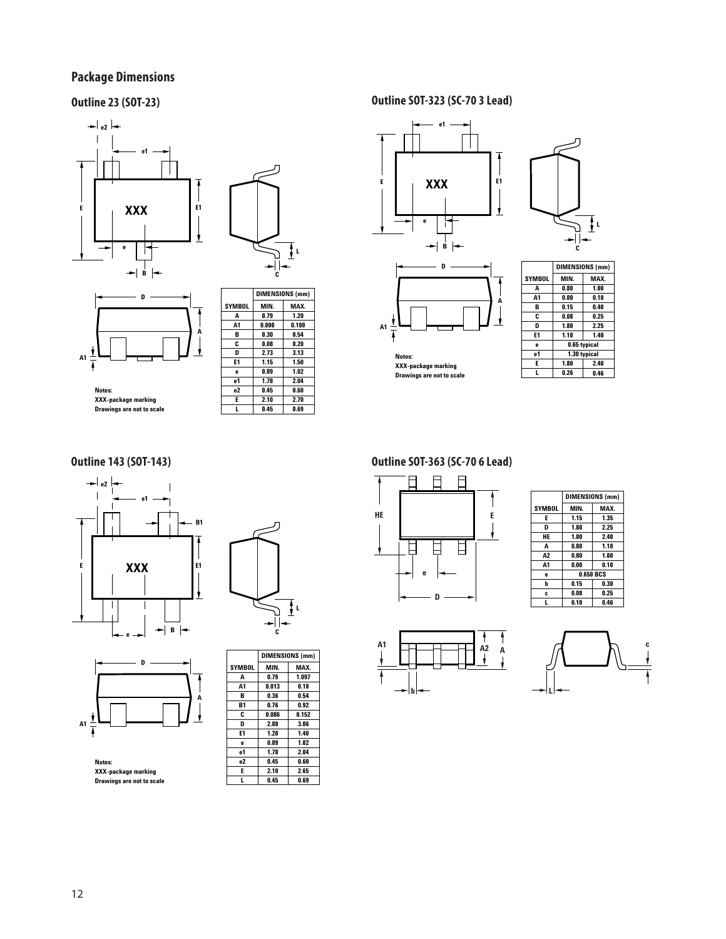# **Package Dimensions**





**Notes: XXX-package marking Drawings are not to scale**

**A1**

7

|               | DIMENSIONS (mm) |       |  |
|---------------|-----------------|-------|--|
| <b>SYMBOL</b> | MIN.            | MAX.  |  |
| A             | 0.79            | 1.20  |  |
| A1            | 0.000           | 0.100 |  |
| в             | 0.30            | 0.54  |  |
| C             | 0.08            | 0.20  |  |
| D             | 2.73            | 3.13  |  |
| E1            | 1.15            | 1.50  |  |
| e             | 0.89            | 1.02  |  |
| e1            | 1.78            | 2.04  |  |
| e2            | 0.45            | 0.60  |  |
| E             | 2.10            | 2.70  |  |
| L             | 0.45            | 0.69  |  |

**Outline 23 (SOT-23) Outline SOT-323 (SC-70 3 Lead)**



**Notes: XXX-package marking Drawings are not to scale**

|              | C                      | L    |  |  |
|--------------|------------------------|------|--|--|
|              | <b>DIMENSIONS (mm)</b> |      |  |  |
| <b>YMBOL</b> | MIN.                   | MAX. |  |  |
| A            | 0.80                   | 1.00 |  |  |
|              |                        |      |  |  |







**D A** ۰ **A1** ł

**Notes:**

**XXX-package marking Drawings are not to scale**

**DIMENSIONS (mm) MIN. 0.79 0.013 0.36 0.76 0.086 2.80 1.20 0.89 1.78 0.45 2.10 0.45 MAX. 1.097 0.10 0.54 0.92 0.152 3.06 1.40 1.02 2.04 0.60 2.65 0.69 SYMBOL A A1 B B1 C D E1 e e1 e2 E L**

# **Outline 143 (SOT-143) Outline SOT-363 (SC-70 6 Lead)**



|        | <b>DIMENSIONS (mm)</b> |           |  |
|--------|------------------------|-----------|--|
| SYMBOL | MIN.                   | MAX.      |  |
| E      | 1.15                   | 1.35      |  |
| D      | 1.80                   | 2.25      |  |
| HE     | 1.80                   | 2.40      |  |
| A      | 0.80                   | 1.10      |  |
| A2     | 0.80                   | 1.00      |  |
| A1     | 0.00                   | 0.10      |  |
| e      |                        | 0.650 BCS |  |
| b      | 0.15                   | 0.30      |  |
| c      | 0.08                   | 0.25      |  |
| L      | 0.10                   | 0.46      |  |
|        |                        |           |  |



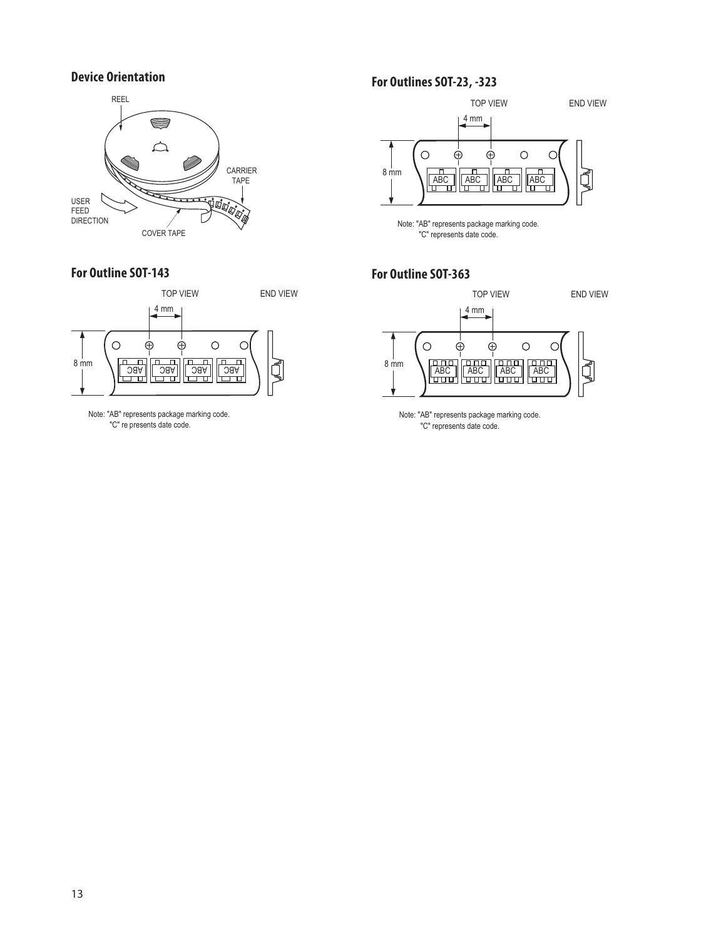### **Device Orientation**



### **For Outline SOT-143**



Note: "AB" represents package marking code. "C" re presents date code.

# **For Outlines SOT-23, -323**



Note: "AB" represents package marking code. "C" represents date code.

#### **For Outline SOT-363**



Note: "AB" represents package marking code. "C" represents date code.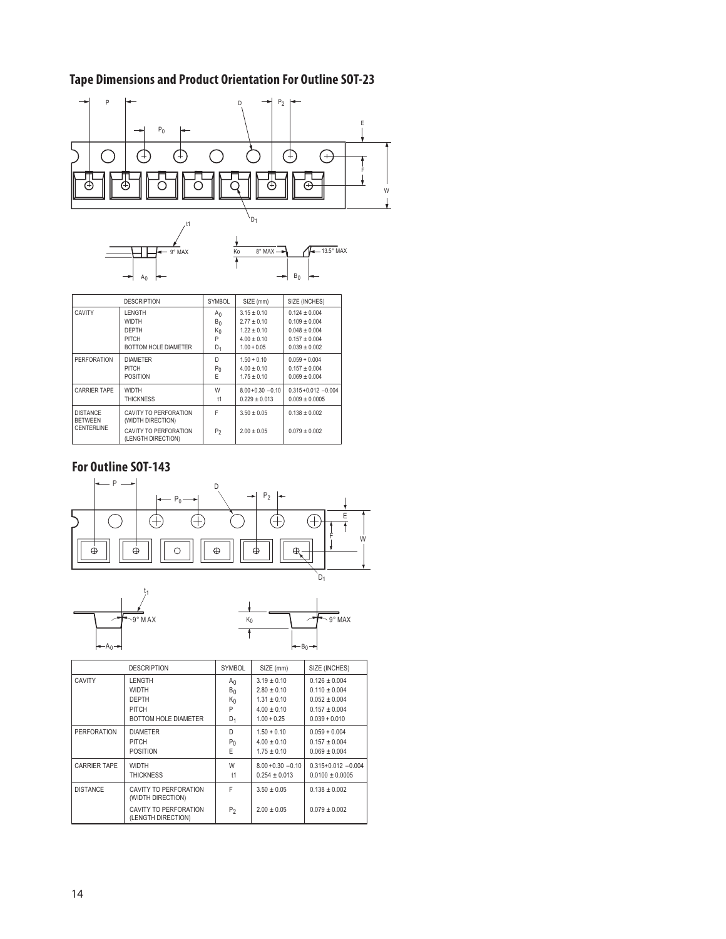# **Tape Dimensions and Product Orientation For Outline SOT-23**





|                                   | <b>DESCRIPTION</b>                          | <b>SYMBOL</b>  | SIZE (mm)            | SIZE (INCHES)           |
|-----------------------------------|---------------------------------------------|----------------|----------------------|-------------------------|
| CAVITY                            | <b>LENGTH</b>                               | $A_{0}$        | $3.15 \pm 0.10$      | $0.124 + 0.004$         |
|                                   | <b>WIDTH</b>                                | $B_0$          | $2.77 \pm 0.10$      | $0.109 + 0.004$         |
|                                   | DEPTH                                       | $K_0$          | $1.22 \pm 0.10$      | $0.048 + 0.004$         |
|                                   | PITCH                                       | P              | $4.00 \pm 0.10$      | $0.157 \pm 0.004$       |
|                                   | BOTTOM HOLE DIAMETER                        | $D_1$          | $1.00 + 0.05$        | $0.039 + 0.002$         |
| <b>PERFORATION</b>                | <b>DIAMETER</b>                             | n.             | $1.50 + 0.10$        | $0.059 + 0.004$         |
|                                   | PITCH                                       | $P_0$          | $4.00 \pm 0.10$      | $0.157 + 0.004$         |
|                                   | <b>POSITION</b>                             | E              | $1.75 \pm 0.10$      | $0.069 + 0.004$         |
| <b>CARRIER TAPE</b>               | <b>WIDTH</b>                                | W              | $8.00 + 0.30 - 0.10$ | $0.315 + 0.012 - 0.004$ |
|                                   | <b>THICKNESS</b>                            | t1             | $0.229 + 0.013$      | $0.009 + 0.0005$        |
| <b>DISTANCE</b><br><b>BETWEEN</b> | CAVITY TO PERFORATION<br>(WIDTH DIRECTION)  | F              | $3.50 \pm 0.05$      | $0.138 + 0.002$         |
| CENTERLINE                        | CAVITY TO PERFORATION<br>(LENGTH DIRECTION) | P <sub>2</sub> | $2.00 \pm 0.05$      | $0.079 + 0.002$         |

# **For Outline SOT-143**





| <b>DESCRIPTION</b>  |                                             | <b>SYMBOL</b>  | SIZE (mm)            | SIZE (INCHES)         |
|---------------------|---------------------------------------------|----------------|----------------------|-----------------------|
| CAVITY              | <b>LENGTH</b>                               | A <sub>0</sub> | $3.19 \pm 0.10$      | $0.126 \pm 0.004$     |
|                     | <b>WIDTH</b>                                | $B_0$          | $2.80 \pm 0.10$      | $0.110 \pm 0.004$     |
|                     | DEPTH                                       | $K_0$          | $1.31 \pm 0.10$      | $0.052 \pm 0.004$     |
|                     | PITCH                                       | P              | $4.00 \pm 0.10$      | $0.157 \pm 0.004$     |
|                     | BOTTOM HOLE DIAMETER                        | $D_1$          | $1.00 + 0.25$        | $0.039 + 0.010$       |
| <b>PERFORATION</b>  | <b>DIAMETER</b>                             | D              | $1.50 + 0.10$        | $0.059 + 0.004$       |
|                     | PITCH                                       | $P_0$          | $4.00 \pm 0.10$      | $0.157 \pm 0.004$     |
|                     | <b>POSITION</b>                             | E              | $1.75 \pm 0.10$      | $0.069 \pm 0.004$     |
| <b>CARRIER TAPE</b> | <b>WIDTH</b>                                | W              | $8.00 + 0.30 - 0.10$ | $0.315+0.012 - 0.004$ |
|                     | <b>THICKNESS</b>                            | t1             | $0.254 \pm 0.013$    | $0.0100 \pm 0.0005$   |
| <b>DISTANCE</b>     | CAVITY TO PERFORATION<br>(WIDTH DIRECTION)  | F              | $3.50 \pm 0.05$      | $0.138 \pm 0.002$     |
|                     | CAVITY TO PERFORATION<br>(LENGTH DIRECTION) | P <sub>2</sub> | $2.00 \pm 0.05$      | $0.079 \pm 0.002$     |